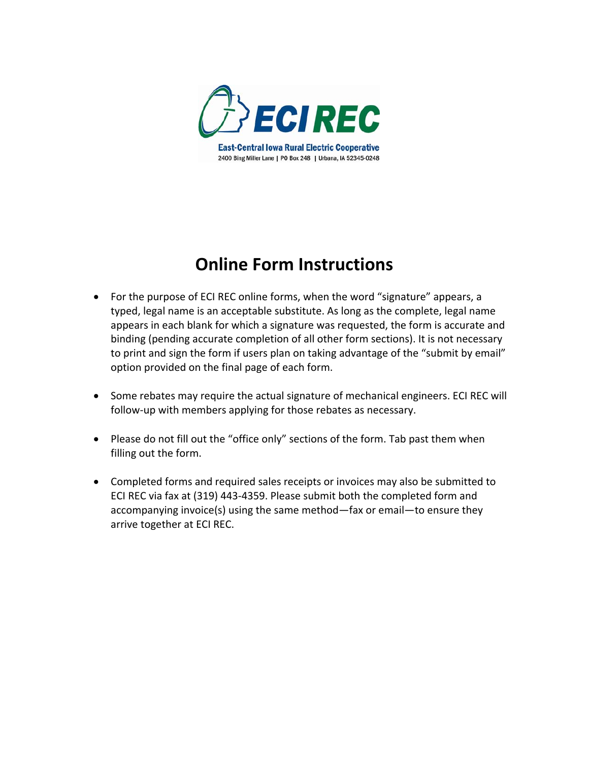

## **Online Form Instructions**

- For the purpose of ECI REC online forms, when the word "signature" appears, a typed, legal name is an acceptable substitute. As long as the complete, legal name appears in each blank for which a signature was requested, the form is accurate and binding (pending accurate completion of all other form sections). It is not necessary to print and sign the form if users plan on taking advantage of the "submit by email" option provided on the final page of each form.
- Some rebates may require the actual signature of mechanical engineers. ECI REC will follow-up with members applying for those rebates as necessary.
- Please do not fill out the "office only" sections of the form. Tab past them when filling out the form.
- Completed forms and required sales receipts or invoices may also be submitted to ECI REC via fax at (319) 443‐4359. Please submit both the completed form and accompanying invoice(s) using the same method—fax or email—to ensure they arrive together at ECI REC.